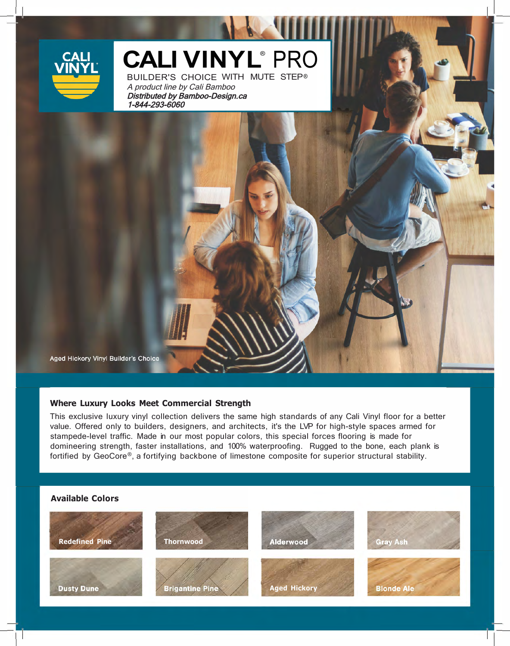

# CALI VINYL<sup>®</sup> PRO

BUILDER'S CHOICE WITH MUTE STEP ®A product line by Cali Bamboo Distributed by Bamboo-Design.ca 1-844-293-6060

Aged Hickory Vinyl Builder's Choice

# **Where Luxury Looks Meet Commercial Strength**

This exclusive luxury vinyl collection delivers the same high standards of any Cali Vinyl floor for a better value. Offered only to builders, designers, and architects, it's the LVP for high-style spaces armed for stampede-level traffic. Made in our most popular colors, this special forces flooring is made for domineering strength, faster installations, and 100% waterproofing. Rugged to the bone, each plank is fortified by GeoCore®, a fortifying backbone of limestone composite for superior structural stability.

# **Available Colors**  . *,,/* ·' .,: **Redefined Pine**  Alderwood **Thornwood Gray Ash Dusty Dune Brigantine Pine Aged Hickory Blonde Ale**